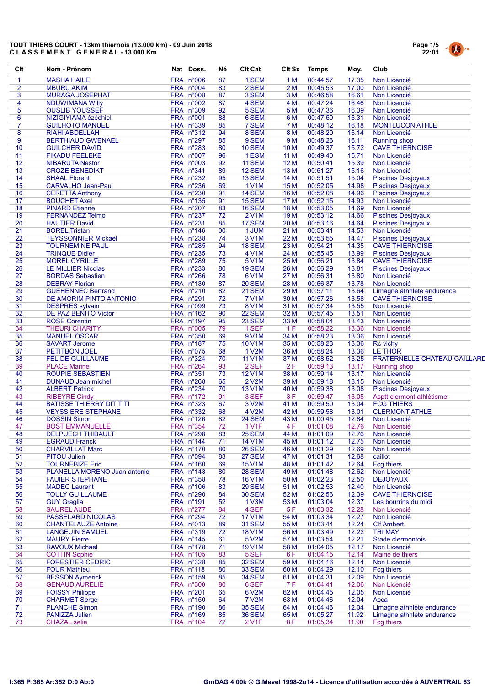# TOUT THIERS COURT - 13km thiernois (13.000 km) - 09 Juin 2018 C L A S S E M E N T G E N E R A L - 13.000 Km



| Clt             | Nom - Prénom                                            | Nat Doss.              | Né       | <b>Clt Cat</b>         | <b>Clt Sx</b>           | <b>Temps</b>         | Moy.           | Club                                           |
|-----------------|---------------------------------------------------------|------------------------|----------|------------------------|-------------------------|----------------------|----------------|------------------------------------------------|
| 1               | <b>MASHA HAILE</b>                                      | FRA n°006              | 87       | 1 SEM                  | 1 <sub>M</sub>          | 00:44:57             | 17.35          | Non Licencié                                   |
| $\overline{2}$  | <b>MBURU AKIM</b>                                       | FRA n°004              | 83       | 2 SEM                  | 2M                      | 00:45:53             | 17.00          | Non Licencié                                   |
| $\mathbf{3}$    | <b>MURAGA JOSEPHAT</b>                                  | <b>FRA n°008</b>       | 87       | 3 SEM                  | 3M                      | 00:46:58             | 16.61          | Non Licencié                                   |
| 4               | NDUWIMANA Willy                                         | FRA n°002              | 87       | 4 SEM                  | 4 M                     | 00:47:24             | 16.46          | Non Licencié                                   |
| 5               | <b>OUSLIB YOUSSEF</b>                                   | FRA n°309              | 92       | 5 SEM                  | 5 M                     | 00:47:36             | 16.39          | Non Licencié                                   |
| $6\phantom{1}6$ | NIZIGIYIAMA ézéchiel                                    | FRA n°001              | 88       | 6 SEM                  | 6 M                     | 00:47:50             | 16.31          | Non Licencié                                   |
| $\overline{7}$  | <b>GUILHOTO MANUEL</b>                                  | FRA n°339              | 85       | 7 SEM                  | 7 M                     | 00:48:12             | 16.18          | <b>MONTLUCON ATHLE</b>                         |
| 8               | RIAHI ABDELLAH                                          | FRA n°312              | 94       | 8 SEM                  | 8 M                     | 00:48:20             | 16.14          | Non Licencié                                   |
| 9               | <b>BERTHIAUD GWENAEL</b>                                | FRA n°297              | 85       | 9 SEM                  | 9 M                     | 00:48:26             | 16.11          | <b>Running shop</b>                            |
| 10<br>11        | <b>GUILCHER DAVID</b><br><b>FIKADU FEELEKE</b>          | FRA n°283<br>FRA n°007 | 80<br>96 | <b>10 SEM</b><br>1 ESM | 10 <sub>M</sub><br>11 M | 00:49:37<br>00:49:40 | 15.72<br>15.71 | <b>CAVE THIERNOISE</b><br>Non Licencié         |
| 12              | <b>NIBARUTA Nestor</b>                                  | FRA n°003              | 92       | 11 SEM                 | 12 M                    | 00:50:41             | 15.39          | Non Licencié                                   |
| 13              | <b>CROZE BENEDIKT</b>                                   | FRA n°341              | 89       | 12 SEM                 | 13 M                    | 00:51:27             | 15.16          | Non Licencié                                   |
| 14              | <b>SHAAL Florent</b>                                    | FRA n°232              | 95       | 13 SEM                 | 14 M                    | 00:51:51             | 15.04          | <b>Piscines Desjoyaux</b>                      |
| 15              | <b>CARVALHO Jean-Paul</b>                               | FRA n°236              | 69       | <b>1 V1M</b>           | 15 M                    | 00:52:05             | 14.98          | <b>Piscines Desjoyaux</b>                      |
| 16              | <b>CERETTA Anthony</b>                                  | FRA n°230              | 91       | 14 SEM                 | 16 M                    | 00:52:08             | 14.96          | <b>Piscines Desjoyaux</b>                      |
| 17              | <b>BOUCHET Axel</b>                                     | FRA n°135              | 91       | 15 SEM                 | 17 M                    | 00:52:15             | 14.93          | Non Licencié                                   |
| 18              | <b>PINARD Etienne</b>                                   | FRA n°207              | 83       | <b>16 SEM</b>          | 18 M                    | 00:53:05             | 14.69          | Non Licencié                                   |
| 19              | <b>FERNANDEZ Telmo</b>                                  | FRA n°237              | 72       | 2 V1M                  | 19 <sub>M</sub>         | 00:53:12             | 14.66          | <b>Piscines Desjoyaux</b>                      |
| 20              | <b>HAUTIER David</b>                                    | FRA n°231              | 85       | 17 SEM                 | 20 M                    | 00:53:16             | 14.64          | <b>Piscines Desjoyaux</b>                      |
| 21              | <b>BOREL Tristan</b>                                    | FRA n°146              | 00       | 1 JUM                  | 21 M                    | 00:53:41             | 14.53          | Non Licencié                                   |
| 22              | <b>TEYSSONNIER Mickaël</b>                              | FRA n°238              | 74       | 3 V1M                  | 22 M                    | 00:53:55             | 14.47          | <b>Piscines Desjoyaux</b>                      |
| 23              | <b>TOURNEMINE PAUL</b>                                  | FRA n°285              | 94       | 18 SEM                 | 23 M                    | 00:54:21             | 14.35          | <b>CAVE THIERNOISE</b>                         |
| 24              | <b>TRINQUE Didier</b>                                   | FRA n°235              | 73       | 4 V1M                  | 24 M                    | 00:55:45             | 13.99          | <b>Piscines Desjoyaux</b>                      |
| 25              | <b>MOREL CYRILLE</b>                                    | FRA n°289              | 75       | 5 V1M                  | 25 M                    | 00:56:21             | 13.84          | <b>CAVE THIERNOISE</b>                         |
| 26<br>27        | <b>LE MILLIER Nicolas</b><br><b>BORDAS Sebastien</b>    | FRA n°233<br>FRA n°266 | 80<br>78 | <b>19 SEM</b><br>6 V1M | 26 M<br>27 M            | 00:56:29<br>00:56:31 | 13.81<br>13.80 | <b>Piscines Desjoyaux</b><br>Non Licencié      |
| 28              | <b>DEBRAY Florian</b>                                   | FRA n°130              | 87       | <b>20 SEM</b>          | 28 M                    | 00:56:37             | 13.78          | Non Licencié                                   |
| 29              | <b>GUEHENNEC Bertrand</b>                               | FRA n°210              | 82       | <b>21 SEM</b>          | 29 M                    | 00:57:11             | 13.64          | Limagne athhlete endurance                     |
| 30              | DE AMORIM PINTO ANTONIO                                 | FRA n°291              | 72       | <b>7 V1M</b>           | 30 M                    | 00:57:26             | 13.58          | <b>CAVE THIERNOISE</b>                         |
| 31              | <b>DESPRES</b> sylvain                                  | FRA n°099              | 73       | 8 V1M                  | 31 M                    | 00:57:34             | 13.55          | Non Licencié                                   |
| 32              | DE PAZ BENITO Victor                                    | FRA n°162              | 90       | 22 SEM                 | 32 M                    | 00:57:45             | 13.51          | Non Licencié                                   |
| 33              | <b>ROSE Corentin</b>                                    | FRA n°197              | 95       | 23 SEM                 | 33 M                    | 00:58:04             | 13.43          | Non Licencié                                   |
| 34              | <b>THEURI CHARITY</b>                                   | FRA n°005              | 79       | 1 SEF                  | 1F                      | 00:58:22             | 13.36          | Non Licencié                                   |
| 35              | <b>MANUEL OSCAR</b>                                     | FRA n°350              | 69       | 9 V1M                  | 34 M                    | 00:58:23             | 13.36          | Non Licencié                                   |
| 36              | <b>SAVART Jerome</b>                                    | FRA n°187              | 75       | 10 V1M                 | 35 M                    | 00:58:23             | 13.36          | <b>Rc</b> vichy                                |
| 37              | PETITBON JOEL                                           | FRA n°075              | 68       | 1 V2M                  | 36 M                    | 00:58:24             | 13.36          | LE THOR                                        |
| 38              | <b>FELIDE GUILLAUME</b>                                 | FRA n°324              | 70       | 11 V1M                 | 37 M                    | 00:58:52             | 13.25          | FRATERNELLE CHATEAU GAILLARD                   |
| 39              | <b>PLACE Marine</b>                                     | FRA n°264              | 93       | 2 SEF                  | 2F                      | 00:59:13             | 13.17          | <b>Running shop</b>                            |
| 40              | ROUPIE SEBASTIEN                                        | FRA n°351              | 73       | 12 V1M                 | 38 M                    | 00:59:14             | 13.17          | Non Licencié                                   |
| 41              | <b>DUNAUD Jean michel</b>                               | FRA n°268              | 65       | 2 V2M                  | 39 M                    | 00:59:18             | 13.15          | Non Licencié                                   |
| 42<br>43        | <b>ALBERT Patrick</b>                                   | FRA n°234<br>FRA n°172 | 70<br>91 | 13 V1M<br>3 SEF        | 40 M<br>3F              | 00:59:38             | 13.08<br>13.05 | <b>Piscines Desjoyaux</b>                      |
| 44              | <b>RIBEYRE Cindy</b><br><b>BATISSE THIERRY DIT TITI</b> | FRA n°323              | 67       | 3 V2M                  | 41 M                    | 00:59:47<br>00:59:50 | 13.04          | Asptt clermont athlétisme<br><b>FCG THIERS</b> |
| 45              | <b>VEYSSIERE STEPHANE</b>                               | FRA n°332              | 68       | 4 V2M                  | 42 M                    | 00:59:58             | 13.01          | <b>CLERMONT ATHLE</b>                          |
| 46              | <b>DOSSIN Simon</b>                                     | FRA n°126              | 82       | 24 SEM                 | 43 M                    | 01:00:45             | 12.84          | Non Licencié                                   |
| 47              | <b>BOST EMMANUELLE</b>                                  | FRA n°354              | 72       | <b>1 V1F</b>           | 4F                      | 01:01:08             | 12.76          | Non Licencié                                   |
| 48              | <b>DELPUECH THIBAULT</b>                                | FRA n°298              | 83       | 25 SEM                 | 44 M                    | 01:01:09             | 12.76          | Non Licencié                                   |
| 49              | <b>EGRAUD Franck</b>                                    | FRA n°144              | 71       | 14 V1M                 | 45 M                    | 01:01:12             | 12.75          | Non Licencié                                   |
| 50              | <b>CHARVILLAT Marc</b>                                  | FRA n°170              | 80       | 26 SEM                 | 46 M                    | 01:01:29             | 12.69          | Non Licencié                                   |
| 51              | <b>PITOU Julien</b>                                     | FRA n°094              | 83       | 27 SEM                 | 47 M                    | 01:01:31             | 12.68          | caillot                                        |
| 52              | <b>TOURNEBIZE Eric</b>                                  | FRA n°160              | 69       | 15 V1M                 | 48 M                    | 01:01:42             | 12.64          | <b>Fcg thiers</b>                              |
| 53              | PLANELLA MORENO Juan antonio                            | FRA n°143              | 80       | 28 SEM                 | 49 M                    | 01:01:48             | 12.62          | Non Licencié                                   |
| 54              | <b>FAUIER STEPHANE</b>                                  | FRA n°358              | 78       | 16 V1M                 | 50 M                    | 01:02:23             | 12.50          | <b>DEJOYAUX</b>                                |
| 55              | <b>MADEC Laurent</b>                                    | FRA n°106              | 83       | <b>29 SEM</b>          | 51 M                    | 01:02:53             | 12.40          | Non Licencié                                   |
| 56              | <b>TOULY GUILLAUME</b>                                  | FRA n°290              | 84       | <b>30 SEM</b>          | 52 M                    | 01:02:56             | 12.39          | <b>CAVE THIERNOISE</b>                         |
| 57              | <b>GUY Graglia</b>                                      | FRA n°191              | 52       | 1 V3M                  | 53 M                    | 01:03:04             | 12.37          | Les bourrins du midi                           |
| 58<br>59        | <b>SAUREL AUDE</b><br><b>PASSELARD NICOLAS</b>          | FRA n°277<br>FRA n°294 | 84       | 4 SEF<br>17 V1M        | 5F<br>54 M              | 01:03:32<br>01:03:34 | 12.28<br>12.27 | Non Licencié                                   |
| 60              | <b>CHANTELAUZE Antoine</b>                              | FRA n°013              | 72<br>89 | <b>31 SEM</b>          | 55 M                    | 01:03:44             | 12.24          | Non Licencié<br><b>CIf Ambert</b>              |
| 61              | <b>LANGEUIN SAMUEL</b>                                  | FRA n°319              | 72       | <b>18 V1M</b>          | 56 M                    | 01:03:49             | 12.22          | <b>TRI MAY</b>                                 |
| 62              | <b>MAURY Pierre</b>                                     | FRA n°145              | 61       | 5 V2M                  | 57 M                    | 01:03:54             | 12.21          | Stade clermontois                              |
| 63              | <b>RAVOUX Michael</b>                                   | FRA n°178              | 71       | <b>19 V1M</b>          | 58 M                    | 01:04:05             | 12.17          | Non Licencié                                   |
| 64              | <b>COTTIN Sophie</b>                                    | FRA n°105              | 83       | 5 SEF                  | 6 F                     | 01:04:15             | 12.14          | Mairie de thiers                               |
| 65              | <b>FORESTIER CEDRIC</b>                                 | FRA n°328              | 85       | 32 SEM                 | 59 M                    | 01:04:16             | 12.14          | Non Licencié                                   |
| 66              | <b>FOUR Mathieu</b>                                     | FRA n°118              | 80       | <b>33 SEM</b>          | 60 M                    | 01:04:29             | 12.10          | <b>Fcg thiers</b>                              |
| 67              | <b>BESSON Aymerick</b>                                  | FRA n°159              | 85       | <b>34 SEM</b>          | 61 M                    | 01:04:31             | 12.09          | Non Licencié                                   |
| 68              | <b>GENAUD AURELIE</b>                                   | FRA n°300              | 80       | 6 SEF                  | 7 F                     | 01:04:41             | 12.06          | Non Licencié                                   |
| 69              | <b>FOISSY Philippe</b>                                  | FRA n°201              | 65       | 6 V2M                  | 62 M                    | 01:04:45             | 12.05          | Non Licencié                                   |
| 70              | <b>CHARMET Serge</b>                                    | FRA n°150              | 64       | <b>7 V2M</b>           | 63 M                    | 01:04:46             | 12.04          | Acca                                           |
| 71              | <b>PLANCHE Simon</b>                                    | FRA n°190              | 86       | <b>35 SEM</b>          | 64 M                    | 01:04:46             | 12.04          | Limagne athhlete endurance                     |
| 72              | <b>PANIZZA Julien</b>                                   | FRA n°169              | 85       | <b>36 SEM</b>          | 65 M                    | 01:05:27             | 11.92          | Limagne athhlete endurance                     |
| 73              | <b>CHAZAL</b> selia                                     | FRA n°104              | 72       | 2 V1F                  | 8 F                     | 01:05:34             | 11.90          | Fcg thiers                                     |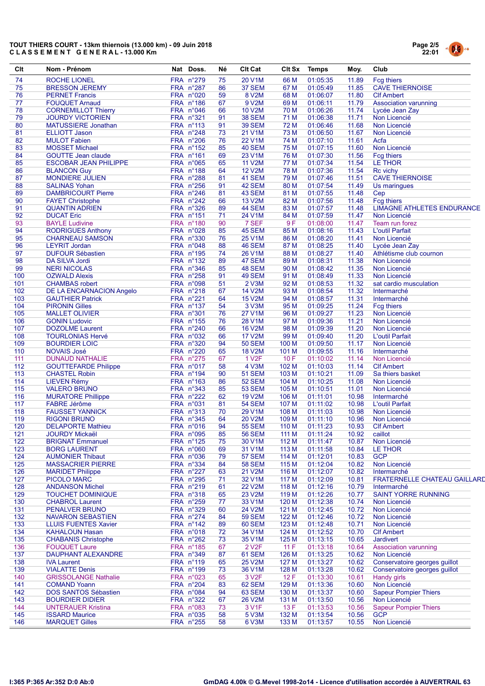# TOUT THIERS COURT - 13km thiernois (13.000 km) - 09 Juin 2018 CLASSEMENT GENERAL-13.000 Km



| Clt        | Nom - Prénom                                          | Nat Doss.              | Né       | <b>CIt Cat</b>                 | <b>CIt Sx</b>  | Temps                | Moy.           | Club                                               |
|------------|-------------------------------------------------------|------------------------|----------|--------------------------------|----------------|----------------------|----------------|----------------------------------------------------|
| 74         | <b>ROCHE LIONEL</b>                                   | FRA n°279              | 75       | 20 V1M                         | 66 M           | 01:05:35             | 11.89          | Fcg thiers                                         |
| 75         | <b>BRESSON JEREMY</b>                                 | FRA n°287              | 86       | 37 SEM                         | 67 M           | 01:05:49             | 11.85          | <b>CAVE THIERNOISE</b>                             |
| 76         | <b>PERNET Francis</b>                                 | FRA n°020              | 59       | 8 V2M                          | 68 M           | 01:06:07             | 11.80          | <b>CIf Ambert</b>                                  |
| 77         | <b>FOUQUET Arnaud</b>                                 | FRA n°186              | 67       | 9 V2M                          | 69 M           | 01:06:11             | 11.79          | <b>Association varunning</b>                       |
| 78<br>79   | <b>CORNEMILLOT Thierry</b>                            | FRA n°046              | 66<br>91 | <b>10 V2M</b>                  | 70 M<br>71 M   | 01:06:26<br>01:06:38 | 11.74<br>11.71 | Lycée Jean Zay<br>Non Licencié                     |
| 80         | <b>JOURDY VICTORIEN</b><br><b>MATUSSIERE Jonathan</b> | FRA n°321<br>FRA n°113 | 91       | <b>38 SEM</b><br><b>39 SEM</b> | 72 M           | 01:06:46             | 11.68          | Non Licencié                                       |
| 81         | <b>ELLIOTT Jason</b>                                  | FRA n°248              | 73       | 21 V1M                         | 73 M           | 01:06:50             | 11.67          | Non Licencié                                       |
| 82         | <b>MULOT Fabien</b>                                   | FRA n°206              | 76       | 22 V1M                         | 74 M           | 01:07:10             | 11.61          | Acfa                                               |
| 83         | <b>MOSSET Michael</b>                                 | FRA n°152              | 85       | 40 SEM                         | 75 M           | 01:07:15             | 11.60          | Non Licencié                                       |
| 84         | <b>GOUTTE Jean claude</b>                             | FRA n°161              | 69       | 23 V1M                         | 76 M           | 01:07:30             | 11.56          | <b>Fcg thiers</b>                                  |
| 85         | <b>ESCOBAR JEAN PHILIPPE</b>                          | FRA n°065              | 65       | <b>11 V2M</b>                  | 77 M           | 01:07:34             | 11.54          | LE THOR                                            |
| 86         | <b>BLANCON Guy</b>                                    | FRA n°188              | 64       | <b>12 V2M</b>                  | 78 M           | 01:07:36             | 11.54          | Rc vichy                                           |
| 87         | <b>MONDIERE JULIEN</b>                                | FRA n°288              | 81       | 41 SEM                         | 79 M           | 01:07:46             | 11.51          | <b>CAVE THIERNOISE</b>                             |
| 88         | <b>SALINAS Yohan</b>                                  | FRA n°256              | 91       | 42 SEM                         | 80 M           | 01:07:54             | 11.49          | Us maringues                                       |
| 89         | <b>DAMBRICOURT Pierre</b>                             | FRA n°246              | 81       | 43 SEM                         | 81 M           | 01:07:55             | 11.48          | Cep                                                |
| 90         | <b>FAYET Christophe</b>                               | FRA n°242              | 66       | 13 V2M<br><b>44 SEM</b>        | 82 M<br>83 M   | 01:07:56             | 11.48<br>11.48 | <b>Fcg thiers</b>                                  |
| 91<br>92   | <b>QUANTIN ADRIEN</b><br><b>DUCAT Eric</b>            | FRA n°326<br>FRA n°151 | 89<br>71 | 24 V1M                         | 84 M           | 01:07:57<br>01:07:59 | 11.47          | <b>LIMAGNE ATHLETES ENDURANCE</b><br>Non Licencié  |
| 93         | <b>BAYLE Ludivine</b>                                 | FRA n°180              | 90       | 7 SEF                          | 9F             | 01:08:00             | 11.47          | Team run forez                                     |
| 94         | <b>RODRIGUES Anthony</b>                              | FRA n°028              | 85       | 45 SEM                         | 85 M           | 01:08:16             | 11.43          | L'outil Parfait                                    |
| 95         | <b>CHARNEAU SAMSON</b>                                | FRA n°330              | 76       | <b>25 V1M</b>                  | 86 M           | 01:08:20             | 11.41          | Non Licencié                                       |
| 96         | <b>LEYRIT Jordan</b>                                  | FRA n°048              | 88       | 46 SEM                         | 87 M           | 01:08:25             | 11.40          | Lycée Jean Zay                                     |
| 97         | <b>DUFOUR Sébastien</b>                               | FRA n°195              | 74       | 26 V1M                         | 88 M           | 01:08:27             | 11.40          | Athlétisme club cournon                            |
| 98         | DA SILVA Jordi                                        | FRA n°132              | 89       | 47 SEM                         | 89 M           | 01:08:31             | 11.38          | Non Licencié                                       |
| 99         | <b>NERI NICOLAS</b>                                   | <b>FRA n°346</b>       | 85       | <b>48 SEM</b>                  | 90 M           | 01:08:42             | 11.35          | Non Licencié                                       |
| 100        | <b>OZWALD Alexis</b>                                  | FRA n°258              | 91       | <b>49 SEM</b>                  | 91 M           | 01:08:49             | 11.33          | Non Licencié                                       |
| 101        | <b>CHAMBAS</b> robert                                 | FRA n°098              | 51       | 2 V3M                          | 92 M           | 01:08:53             | 11.32          | sat cardio musculation                             |
| 102        | DE LA ENCARNACION Angelo                              | FRA n°218              | 67       | <b>14 V2M</b>                  | 93 M           | 01:08:54             | 11.32          | Intermarché                                        |
| 103        | <b>GAUTHIER Patrick</b>                               | FRA n°221              | 64       | <b>15 V2M</b>                  | 94 M           | 01:08:57             | 11.31          | Intermarché                                        |
| 104<br>105 | <b>PIRONIN Gilles</b><br><b>MALLET OLIVIER</b>        | FRA n°137<br>FRA n°301 | 54<br>76 | 3 V3M<br><b>27 V1M</b>         | 95 M<br>96 M   | 01:09:25<br>01:09:27 | 11.24<br>11.23 | <b>Fcg thiers</b><br>Non Licencié                  |
| 106        | <b>GONIN Ludovic</b>                                  | FRA n°155              | 76       | <b>28 V1M</b>                  | 97 M           | 01:09:36             | 11.21          | Non Licencié                                       |
| 107        | <b>DOZOLME</b> Laurent                                | FRA n°240              | 66       | <b>16 V2M</b>                  | 98 M           | 01:09:39             | 11.20          | Non Licencié                                       |
| 108        | <b>TOURLONIAS Hervé</b>                               | FRA n°032              | 66       | <b>17 V2M</b>                  | 99 M           | 01:09:40             | 11.20          | L'outil Parfait                                    |
| 109        | <b>BOURDIER LOIC</b>                                  | FRA n°320              | 94       | <b>50 SEM</b>                  | 100 M          | 01:09:50             | 11.17          | Non Licencié                                       |
| 110        | <b>NOVAIS José</b>                                    | FRA n°220              | 65       | <b>18 V2M</b>                  | 101 M          | 01:09:55             | 11.16          | Intermarché                                        |
| 111        | <b>DUNAUD NATHALIE</b>                                | FRA n°275              | 67       | 1 V <sub>2</sub> F             | 10F            | 01:10:02             | 11.14          | Non Licencié                                       |
| 112        | <b>GOUTTEFARDE Philippe</b>                           | FRA n°017              | 58       | <b>4 V3M</b>                   | 102 M          | 01:10:03             | 11.14          | <b>CIf Ambert</b>                                  |
| 113        | <b>CHASTEL Robin</b>                                  | FRA n°194              | 90       | <b>51 SEM</b>                  | 103 M          | 01:10:21             | 11.09          | Sa thiers basket                                   |
| 114        | <b>LIEVEN Rémy</b>                                    | FRA n°163              | 86       | <b>52 SEM</b>                  | 104 M          | 01:10:25             | 11.08<br>11.01 | Non Licencié<br>Non Licencié                       |
| 115<br>116 | <b>VALERO BRUNO</b><br><b>MURATORE Phillippe</b>      | FRA n°343<br>FRA n°222 | 85<br>62 | <b>53 SEM</b><br><b>19 V2M</b> | 105 M<br>106 M | 01:10:51<br>01:11:01 | 10.98          | Intermarché                                        |
| 117        | <b>FABRE Jérôme</b>                                   | FRA n°031              | 81       | <b>54 SEM</b>                  | 107 M          | 01:11:02             | 10.98          | L'outil Parfait                                    |
| 118        | <b>FAUSSET YANNICK</b>                                | FRA n°313              | 70       | 29 V1M                         | 108 M          | 01:11:03             | 10.98          | Non Licencié                                       |
| 119        | <b>RIGONI BRUNO</b>                                   | FRA n°345              | 64       | 20 V2M                         | 109 M          | 01:11:10             | 10.96          | Non Licencié                                       |
| 120        | <b>DELAPORTE Mathieu</b>                              | FRA n°016              | 94       | <b>55 SEM</b>                  | 110 M          | 01:11:23             | 10.93          | <b>Clf Ambert</b>                                  |
| 121        | <b>JOURDY Mickaël</b>                                 | FRA n°095              | 85       | <b>56 SEM</b>                  | 111 M          | 01:11:24             | 10.92          | caillot                                            |
| 122        | <b>BRIGNAT Emmanuel</b>                               | FRA n°125              | 75       | 30 V1M                         | 112 M          | 01:11:47             | 10.87          | Non Licencié                                       |
| 123        | <b>BORG LAURENT</b>                                   | FRA n°060              | 69       | 31 V1M                         | 113 M          | 01:11:58             | 10.84          | LE THOR                                            |
| 124        | <b>AUMONIER Thibaut</b>                               | FRA n°036              | 79       | <b>57 SEM</b>                  | 114 M          | 01:12:01             | 10.83          | <b>GCP</b>                                         |
| 125        | <b>MASSACRIER PIERRE</b>                              | FRA n°334              | 84       | <b>58 SEM</b>                  | 115 M          | 01:12:04             | 10.82          | Non Licencié                                       |
| 126<br>127 | <b>MARIDET Philippe</b><br><b>PICOLO MARC</b>         | FRA n°227<br>FRA n°295 | 63<br>71 | 21 V2M<br>32 V1M               | 116 M<br>117 M | 01:12:07<br>01:12:09 | 10.82<br>10.81 | Intermarché<br><b>FRATERNELLE CHATEAU GAILLARI</b> |
| 128        | <b>ANDANSON Michel</b>                                | FRA n°219              | 61       | <b>22 V2M</b>                  | 118 M          | 01:12:16             | 10.79          | Intermarché                                        |
| 129        | <b>TOUCHET DOMINIQUE</b>                              | FRA n°318              | 65       | 23 V2M                         | 119 M          | 01:12:26             | 10.77          | <b>SAINT YORRE RUNNING</b>                         |
| 130        | <b>CHABROL Laurent</b>                                | FRA n°259              | 77       | 33 V1M                         | 120 M          | 01:12:38             | 10.74          | Non Licencié                                       |
| 131        | <b>PENALVER BRUNO</b>                                 | FRA n°329              | 60       | 24 V2M                         | 121 M          | 01:12:45             | 10.72          | Non Licencié                                       |
| 132        | <b>NAVARON SEBASTIEN</b>                              | FRA n°274              | 84       | <b>59 SEM</b>                  | 122 M          | 01:12:46             | 10.72          | Non Licencié                                       |
| 133        | <b>LLUIS FUENTES Xavier</b>                           | FRA n°142              | 89       | <b>60 SEM</b>                  | 123 M          | 01:12:48             | 10.71          | Non Licencié                                       |
| 134        | <b>KAHALOUN Hasan</b>                                 | FRA n°018              | 72       | 34 V1M                         | 124 M          | 01:12:52             | 10.70          | <b>Clf Ambert</b>                                  |
| 135        | <b>CHABANIS Christophe</b>                            | FRA n°262              | 73       | 35 V1M                         | 125 M          | 01:13:15             | 10.65          | Jardivert                                          |
| 136        | <b>FOUQUET Laure</b>                                  | FRA n°185              | 67       | 2 V <sub>2</sub> F             | 11 F           | 01:13:18             | 10.64          | <b>Association varunning</b>                       |
| 137        | <b>DAUPHANT ALEXANDRE</b>                             | FRA n°349              | 87       | <b>61 SEM</b>                  | 126 M          | 01:13:25             | 10.62          | Non Licencié                                       |
| 138        | <b>IVA Laurent</b>                                    | FRA n°119              | 65       | 25 V2M                         | 127 M          | 01:13:27             | 10.62          | Conservatoire georges guillot                      |
| 139<br>140 | <b>VIALATTE Denis</b><br><b>GRISSOLANGE Nathalie</b>  | FRA n°199<br>FRA n°023 | 73<br>65 | 36 V1M<br>3 V <sub>2</sub> F   | 128 M<br>12F   | 01:13:28<br>01:13:30 | 10.62<br>10.61 | Conservatoire georges guillot<br>Handy girls       |
| 141        | <b>COMAND Yoann</b>                                   | FRA n°204              | 83       | 62 SEM                         | 129 M          | 01:13:36             | 10.60          | Non Licencié                                       |
| 142        | DOS SANTOS Sébastien                                  | FRA n°084              | 94       | <b>63 SEM</b>                  | 130 M          | 01:13:37             | 10.60          | <b>Sapeur Pompier Thiers</b>                       |
| 143        | <b>BOURDIER DIDIER</b>                                | FRA n°322              | 67       | <b>26 V2M</b>                  | 131 M          | 01:13:50             | 10.56          | Non Licencié                                       |
| 144        | <b>UNTERAUER Kristina</b>                             | FRA n°083              | 73       | 3 V1F                          | 13F            | 01:13:53             | 10.56          | <b>Sapeur Pompier Thiers</b>                       |
| 145        | <b>ISSARD Maurice</b>                                 | FRA n°035              | 58       | 5 V3M                          | 132 M          | 01:13:54             | 10.56          | <b>GCP</b>                                         |
| 146        | <b>MARQUET Gilles</b>                                 | FRA n°255              | 58       | 6 V3M                          | 133 M          | 01:13:57             | 10.55          | Non Licencié                                       |
|            |                                                       |                        |          |                                |                |                      |                |                                                    |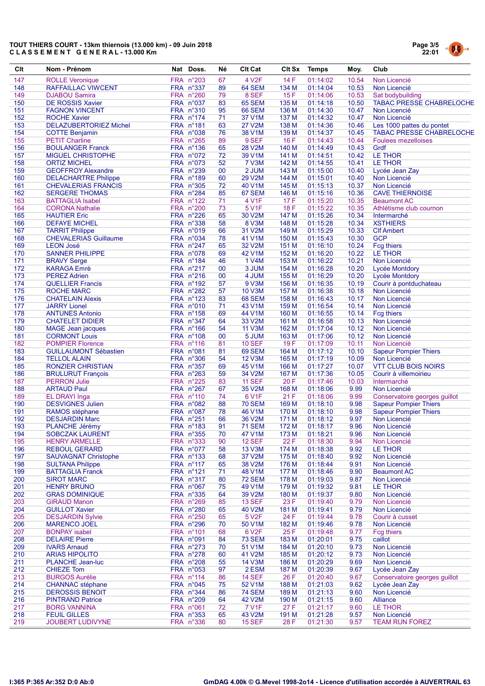# TOUT THIERS COURT - 13km thiernois (13.000 km) - 09 Juin 2018 C L A S S E M E N T G E N E R A L - 13.000 Km



| Clt        | Nom - Prénom                                        | Nat Doss.              | Né       | <b>CIt Cat</b>                 | CIt Sx         | Temps                | Moy.           | Club                                            |
|------------|-----------------------------------------------------|------------------------|----------|--------------------------------|----------------|----------------------|----------------|-------------------------------------------------|
| 147        | <b>ROLLE Veronique</b>                              | FRA n°203              | 67       | 4 V2F                          | 14 F           | 01:14:02             | 10.54          | Non Licencié                                    |
| 148        | RAFFAILLAC VIWCENT                                  | FRA n°337              | 89       | 64 SEM                         | 134 M          | 01:14:04             | 10.53          | Non Licencié                                    |
| 149        | <b>DJABOU Samira</b>                                | FRA n°260              | 79       | 8 SEF                          | 15F            | 01:14:06             | 10.53          | Sat bodybuilding                                |
| 150        | <b>DE ROSSIS Xavier</b>                             | FRA n°037              | 83       | <b>65 SEM</b>                  | 135 M          | 01:14:18             | 10.50          | <b>TABAC PRESSE CHABRELOCHE</b>                 |
| 151        | <b>FAGNON VINCENT</b>                               | FRA n°310              | 95       | <b>66 SEM</b>                  | 136 M          | 01:14:30             | 10.47          | Non Licencié                                    |
| 152        | <b>ROCHE Xavier</b>                                 | FRA n°174              | 71       | 37 V1M                         | 137 M          | 01:14:32             | 10.47          | Non Licencié                                    |
| 153        | <b>DELAZUBERTORIEZ Michel</b>                       | FRA n°181              | 63       | 27 V2M                         | 138 M          | 01:14:36             | 10.46          | Les 1000 pattes du pontet                       |
| 154        | <b>COTTE Benjamin</b>                               | FRA n°038              | 76       | 38 V1M                         | 139 M          | 01:14:37             | 10.45          | <b>TABAC PRESSE CHABRELOCHE</b>                 |
| 155<br>156 | <b>PETIT Charline</b>                               | FRA n°265              | 89       | 9 SEF                          | 16F            | 01:14:43             | 10.44          | <b>Foulees mezelloises</b>                      |
| 157        | <b>BOULANGER Franck</b><br><b>MIGUEL CHRISTOPHE</b> | FRA n°136<br>FRA n°072 | 65<br>72 | 28 V2M<br>39 V1M               | 140 M<br>141 M | 01:14:49<br>01:14:51 | 10.43<br>10.42 | Grdf<br>LE THOR                                 |
| 158        | <b>ORTIZ MICHEL</b>                                 | FRA n°073              | 52       | <b>7 V3M</b>                   | 142 M          | 01:14:55             | 10.41          | LE THOR                                         |
| 159        | <b>GEOFFROY Alexandre</b>                           | FRA n°239              | 00       | 2 JUM                          | 143 M          | 01:15:00             | 10.40          | Lycée Jean Zay                                  |
| 160        | <b>DELACHARTRE Philippe</b>                         | FRA n°189              | 60       | 29 V2M                         | 144 M          | 01:15:01             | 10.40          | Non Licencié                                    |
| 161        | <b>CHEVALERIAS FRANCIS</b>                          | FRA n°305              | 72       | 40 V1M                         | 145 M          | 01:15:13             | 10.37          | Non Licencié                                    |
| 162        | <b>SERGERE THOMAS</b>                               | FRA n°284              | 85       | 67 SEM                         | 146 M          | 01:15:16             | 10.36          | <b>CAVE THIERNOISE</b>                          |
| 163        | <b>BATTAGLIA Isabel</b>                             | FRA n°122              | 71       | 4 V1F                          | 17 F           | 01:15:20             | 10.35          | <b>Beaumont AC</b>                              |
| 164        | <b>CORONA Nathalie</b>                              | FRA n°200              | 73       | 5 V1F                          | 18 F           | 01:15:22             | 10.35          | Athlétisme club cournon                         |
| 165        | <b>HAUTIER Eric</b>                                 | FRA n°226              | 65       | 30 V2M                         | 147 M          | 01:15:26             | 10.34          | Intermarché                                     |
| 166        | <b>DEFAYE MICHEL</b>                                | FRA n°338              | 58       | <b>8 V3M</b>                   | 148 M          | 01:15:28             | 10.34          | <b>XSTHIERS</b>                                 |
| 167        | <b>TARRIT Philippe</b>                              | FRA n°019              | 66       | 31 V2M                         | 149 M          | 01:15:29             | 10.33          | <b>CIf Ambert</b>                               |
| 168        | <b>CHEVALERIAS Guillaume</b>                        | FRA n°034              | 78       | 41 V1M                         | 150 M          | 01:15:43             | 10.30          | <b>GCP</b>                                      |
| 169        | <b>LEON José</b>                                    | FRA n°247              | 65       | 32 V2M                         | 151 M          | 01:16:10             | 10.24          | <b>Fcg thiers</b>                               |
| 170        | <b>SANNER PHILIPPE</b>                              | FRA n°078              | 69       | 42 V1M                         | 152 M          | 01:16:20             | 10.22          | LE THOR                                         |
| 171        | <b>BRAVY Serge</b>                                  | FRA n°184              | 46       | 1 V4M                          | 153 M          | 01:16:22             | 10.21          | Non Licencié                                    |
| 172        | <b>KARAGA Emrè</b>                                  | FRA n°217              | 00       | 3 JUM                          | 154 M          | 01:16:28             | 10.20          | Lycée Montdory                                  |
| 173        | <b>PEREZ Adrien</b>                                 | FRA n°216              | 00       | 4 JUM                          | 155 M          | 01:16:29             | 10.20          | Lycée Montdory                                  |
| 174        | <b>QUELLIER Francis</b>                             | FRA n°192<br>FRA n°282 | 57       | 9 V3M                          | 156 M          | 01:16:35             | 10.19          | Courir à pontduchateau                          |
| 175<br>176 | <b>ROCHE MARC</b><br><b>CHATELAIN Alexis</b>        | FRA n°123              | 57<br>83 | <b>10 V3M</b><br><b>68 SEM</b> | 157 M<br>158 M | 01:16:38<br>01:16:43 | 10.18<br>10.17 | Non Licencié<br>Non Licencié                    |
| 177        | <b>JARRY Lionel</b>                                 | FRA n°010              | 71       | 43 V1M                         | 159 M          | 01:16:54             | 10.14          | Non Licencié                                    |
| 178        | <b>ANTUNES Antonio</b>                              | FRA n°158              | 69       | 44 V1M                         | 160 M          | 01:16:55             | 10.14          | <b>Fcg thiers</b>                               |
| 179        | <b>CHATELET DIDIER</b>                              | FRA n°347              | 64       | 33 V2M                         | 161 M          | 01:16:58             | 10.13          | Non Licencié                                    |
| 180        | <b>MAGE</b> Jean jacques                            | $FRA$ n°166            | 54       | <b>11 V3M</b>                  | 162 M          | 01:17:04             | 10.12          | Non Licencié                                    |
| 181        | <b>CORMONT Louis</b>                                | FRA n°108              | 00       | 5 JUM                          | 163 M          | 01:17:06             | 10.12          | Non Licencié                                    |
| 182        | <b>POMPIER Florence</b>                             | FRA n°116              | 81       | <b>10 SEF</b>                  | 19F            | 01:17:09             | 10.11          | Non Licencié                                    |
| 183        | <b>GUILLAUMONT Sébastien</b>                        | FRA n°081              | 81       | 69 SEM                         | 164 M          | 01:17:12             | 10.10          | <b>Sapeur Pompier Thiers</b>                    |
| 184        | <b>TELLOL ALAIN</b>                                 | FRA n°306              | 54       | 12 V3M                         | 165 M          | 01:17:19             | 10.09          | Non Licencié                                    |
| 185        | <b>RONZIER CHRISTIAN</b>                            | FRA n°357              | 69       | 45 V1M                         | 166 M          | 01:17:27             | 10.07          | <b>VTT CLUB BOIS NOIRS</b>                      |
| 186        | <b>BRULURUT François</b>                            | FRA n°263              | 59       | 34 V2M                         | 167 M          | 01:17:36             | 10.05          | Courir à villemoirieu                           |
| 187        | <b>PERRON Julie</b>                                 | FRA n°225              | 83       | <b>11 SEF</b>                  | 20F            | 01:17:46             | 10.03          | Intermarché                                     |
| 188        | <b>ARTAUD Paul</b>                                  | FRA n°267              | 67       | 35 V2M                         | 168 M          | 01:18:06             | 9.99           | Non Licencié                                    |
| 189        | EL DRAYI Inga                                       | FRA n°110              | 74       | 6 V1F                          | 21F            | 01:18:06             | 9.99           | Conservatoire georges guillot                   |
| 190        | <b>DESVIGNES Julien</b>                             | FRA n°082              | 88       | <b>70 SEM</b>                  | 169 M          | 01:18:10             | 9.98           | <b>Sapeur Pompier Thiers</b>                    |
| 191        | RAMOS stéphane                                      | FRA n°087              | 78       | 46 V1M                         | 170 M          | 01:18:10             | 9.98           | <b>Sapeur Pompier Thiers</b>                    |
| 192<br>193 | <b>DESJARDIN Marc</b>                               | FRA n°251<br>FRA n°183 | 66<br>91 | 36 V2M<br><b>71 SEM</b>        | 171 M<br>172 M | 01:18:12<br>01:18:17 | 9.97<br>9.96   | Non Licencié<br>Non Licencié                    |
| 194        | <b>PLANCHE Jérémy</b><br><b>SOBCZAK LAURENT</b>     | FRA n°355              | 70       | 47 V1M                         | 173 M          | 01:18:21             | 9.96           | Non Licencié                                    |
| 195        | <b>HENRY ARMELLE</b>                                | FRA n°333              | 90       | <b>12 SEF</b>                  | 22 F           | 01:18:30             | 9.94           | Non Licencié                                    |
| 196        | <b>REBOUL GERARD</b>                                | FRA n°077              | 58       | 13 V3M                         | 174 M          | 01:18:38             | 9.92           | LE THOR                                         |
| 197        | <b>SAUVAGNAT Christophe</b>                         | FRA n°133              | 68       | 37 V2M                         | 175 M          | 01:18:40             | 9.92           | Non Licencié                                    |
| 198        | <b>SULTANA Philippe</b>                             | FRA n°117              | 65       | 38 V2M                         | 176 M          | 01:18:44             | 9.91           | Non Licencié                                    |
| 199        | <b>BATTAGLIA Franck</b>                             | FRA n°121              | 71       | 48 V1M                         | 177 M          | 01:18:46             | 9.90           | <b>Beaumont AC</b>                              |
| 200        | <b>SIROT MARC</b>                                   | FRA n°317              | 80       | <b>72 SEM</b>                  | 178 M          | 01:19:03             | 9.87           | Non Licencié                                    |
| 201        | <b>HENRY BRUNO</b>                                  | FRA n°067              | 75       | 49 V1M                         | 179 M          | 01:19:32             | 9.81           | LE THOR                                         |
| 202        | <b>GRAS DOMINIQUE</b>                               | FRA n°335              | 64       | 39 V2M                         | 180 M          | 01:19:37             | 9.80           | Non Licencié                                    |
| 203        | <b>GIRAUD Manon</b>                                 | FRA n°269              | 85       | <b>13 SEF</b>                  | 23 F           | 01:19:40             | 9.79           | Non Licencié                                    |
| 204        | <b>GUILLOT Xavier</b>                               | FRA n°280              | 65       | 40 V2M                         | 181 M          | 01:19:41             | 9.79           | Non Licencié                                    |
| 205        | <b>DESJARDIN Sylvie</b>                             | FRA n°250              | 65       | 5 V2F                          | 24 F           | 01:19:44             | 9.78           | Courir à cusset                                 |
| 206        | <b>MARENCO JOEL</b>                                 | FRA n°296              | 70       | 50 V1M                         | 182 M          | 01:19:46             | 9.78           | Non Licencié                                    |
| 207        | <b>BONPAY</b> isabel                                | FRA n°101              | 68       | 6 V <sub>2</sub> F             | 25 F           | 01:19:48             | 9.77           | <b>Fcg thiers</b>                               |
| 208        | <b>DELAIRE Pierre</b>                               | FRA n°091              | 84       | <b>73 SEM</b>                  | 183 M          | 01:20:01             | 9.75           | caillot                                         |
| 209        | <b>IVARS Arnaud</b>                                 | FRA n°273              | 70       | 51 V1M                         | 184 M          | 01:20:10             | 9.73           | Non Licencié                                    |
| 210        | <b>ARIAS HIPOLITO</b>                               | FRA n°278              | 60       | 41 V2M                         | 185 M          | 01:20:12             | 9.73           | Non Licencié                                    |
| 211        | <b>PLANCHE Jean-luc</b>                             | FRA n°208              | 55       | <b>14 V3M</b>                  | 186 M          | 01:20:29<br>01:20:39 | 9.69           | Non Licencié                                    |
| 212<br>213 | <b>CHIEZE Tom</b><br><b>BURGOS Aurélie</b>          | FRA n°053<br>FRA n°114 | 97<br>86 | 2 ESM<br><b>14 SEF</b>         | 187 M<br>26 F  | 01:20:40             | 9.67<br>9.67   | Lycée Jean Zay<br>Conservatoire georges guillot |
| 214        | <b>CHANNAC</b> stéphane                             | FRA n°045              | 75       | 52 V1M                         | 188 M          | 01:21:03             | 9.62           | Lycée Jean Zay                                  |
| 215        | <b>DEROSSIS BENOIT</b>                              | FRA n°344              | 86       | <b>74 SEM</b>                  | 189 M          | 01:21:13             | 9.60           | Non Licencié                                    |
| 216        | <b>PINTRAND Patrice</b>                             | FRA n°209              | 64       | 42 V2M                         | 190 M          | 01:21:15             | 9.60           | <b>Alliance</b>                                 |
| 217        | <b>BORG VANNINA</b>                                 | FRA n°061              | 72       | <b>7 V1F</b>                   | 27 F           | 01:21:17             | 9.60           | LE THOR                                         |
| 218        | <b>FEUIL GILLES</b>                                 | FRA n°353              | 65       | 43 V2M                         | 191 M          | 01:21:28             | 9.57           | Non Licencié                                    |
| 219        | JOUBERT LUDIVYNE                                    | FRA n°336              | 80       | <b>15 SEF</b>                  | 28 F           | 01:21:30             | 9.57           | <b>TEAM RUN FOREZ</b>                           |
|            |                                                     |                        |          |                                |                |                      |                |                                                 |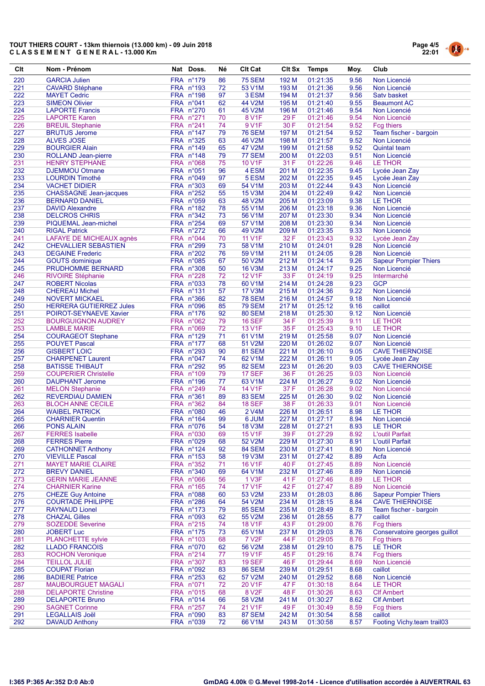# TOUT THIERS COURT - 13km thiernois (13.000 km) - 09 Juin 2018<br>CLASSEMENT GENERAL - 13.000 Km



| Clt        | Nom - Prénom                                        | Nat Doss.                | Né       | <b>CIt Cat</b>                 |                | CIt Sx Temps         | Moy.         | Club                                             |
|------------|-----------------------------------------------------|--------------------------|----------|--------------------------------|----------------|----------------------|--------------|--------------------------------------------------|
| 220        | <b>GARCIA Julien</b>                                | FRA n°179                | 86       | <b>75 SEM</b>                  | 192 M          | 01:21:35             | 9.56         | Non Licencié                                     |
| 221        | <b>CAVARD Stéphane</b>                              | FRA n°193                | 72       | 53 V1M                         | 193 M          | 01:21:36             | 9.56         | Non Licencié                                     |
| 222        | <b>MAYET Cedric</b>                                 | FRA n°198                | 97       | 3 ESM                          | 194 M          | 01:21:37             | 9.56         | Saty basket                                      |
| 223        | <b>SIMEON Olivier</b>                               | FRA n°041                | 62       | 44 V2M                         | 195 M          | 01:21:40             | 9.55         | <b>Beaumont AC</b>                               |
| 224        | <b>LAPORTE Francis</b>                              | FRA n°270                | 61       | 45 V2M                         | 196 M          | 01:21:46             | 9.54         | Non Licencié                                     |
| 225        | <b>LAPORTE Karen</b>                                | FRA n°271                | 70       | <b>8 V1F</b>                   | 29 F           | 01:21:46             | 9.54         | Non Licencié                                     |
| 226        | <b>BREUIL Stephanie</b>                             | FRA n°241                | 74       | 9 V1F                          | 30 F           | 01:21:54             | 9.52         | <b>Fcg thiers</b>                                |
| 227        | <b>BRUTUS Jerome</b>                                | FRA n°147                | 79       | <b>76 SEM</b>                  | 197 M          | 01:21:54             | 9.52         | Team fischer - bargoin                           |
| 228        | <b>ALVES JOSE</b>                                   | FRA n°325                | 63       | 46 V2M                         | 198 M          | 01:21:57             | 9.52         | Non Licencié                                     |
| 229<br>230 | <b>BOURGIER Alain</b><br><b>ROLLAND Jean-pierre</b> | FRA n°149                | 65       | 47 V2M<br>77 SEM               | 199 M          | 01:21:58<br>01:22:03 | 9.52<br>9.51 | <b>Quintal team</b>                              |
| 231        | <b>HENRY STEPHANE</b>                               | $FRA$ n°148<br>FRA n°068 | 79<br>75 | 10 V1F                         | 200 M<br>31 F  | 01:22:26             | 9.46         | Non Licencié<br>LE THOR                          |
| 232        | <b>DJEMMOU Otmane</b>                               | FRA n°051                | 96       | 4 ESM                          | 201 M          | 01:22:35             | 9.45         | Lycée Jean Zay                                   |
| 233        | <b>LOURDIN Timothé</b>                              | FRA n°049                | 97       | 5 ESM                          | 202 M          | 01:22:35             | 9.45         | Lycée Jean Zay                                   |
| 234        | <b>VACHET DIDIER</b>                                | FRA n°303                | 69       | 54 V1M                         | 203 M          | 01:22:44             | 9.43         | Non Licencié                                     |
| 235        | <b>CHASSAGNE</b> Jean-jacques                       | FRA n°252                | 55       | <b>15 V3M</b>                  | 204 M          | 01:22:49             | 9.42         | Non Licencié                                     |
| 236        | <b>BERNARD DANIEL</b>                               | FRA n°059                | 63       | 48 V2M                         | 205 M          | 01:23:09             | 9.38         | LE THOR                                          |
| 237        | <b>DAVID Alexandre</b>                              | FRA n°182                | 78       | 55 V1M                         | 206 M          | 01:23:18             | 9.36         | Non Licencié                                     |
| 238        | <b>DELCROS CHRIS</b>                                | FRA n°342                | 73       | 56 V1M                         | 207 M          | 01:23:30             | 9.34         | Non Licencié                                     |
| 239        | PIQUEMAL Jean-michel                                | FRA n°254                | 69       | 57 V1M                         | 208 M          | 01:23:30             | 9.34         | Non Licencié                                     |
| 240        | <b>RIGAL Patrick</b>                                | FRA n°272                | 66       | 49 V2M                         | 209 M          | 01:23:35             | 9.33         | Non Licencié                                     |
| 241        | LAFAYE DE MICHEAUX agnès                            | FRA n°044                | 70       | <b>11 V1F</b>                  | 32 F           | 01:23:43             | 9.32         | Lycée Jean Zay                                   |
| 242        | <b>CHEVALLIER SEBASTIEN</b>                         | FRA n°299                | 73       | 58 V1M                         | 210 M          | 01:24:01             | 9.28         | Non Licencié                                     |
| 243        | <b>DEGAINE Frederic</b>                             | $FRA$ n°202              | 76       | 59 V1M                         | 211 M          | 01:24:05             | 9.28         | Non Licencié                                     |
| 244        | <b>GOUTS</b> dominique                              | FRA n°085                | 67       | 50 V2M                         | 212 M          | 01:24:14             | 9.26         | <b>Sapeur Pompier Thiers</b>                     |
| 245        | <b>PRUDHOMME BERNARD</b>                            | FRA n°308<br>FRA n°228   | 50<br>72 | <b>16 V3M</b>                  | 213 M          | 01:24:17             | 9.25         | Non Licencié                                     |
| 246<br>247 | <b>RIVOIRE Stéphanie</b><br><b>ROBERT Nicolas</b>   | FRA n°033                | 78       | 12 V1F<br>60 V1M               | 33 F<br>214 M  | 01:24:19<br>01:24:28 | 9.25<br>9.23 | Intermarché<br><b>GCP</b>                        |
| 248        | <b>CHEREAU Michel</b>                               | FRA n°131                | 57       | <b>17 V3M</b>                  | 215 M          | 01:24:36             | 9.22         | Non Licencié                                     |
| 249        | <b>NOVERT MICKAEL</b>                               | FRA n°366                | 82       | <b>78 SEM</b>                  | 216 M          | 01:24:57             | 9.18         | Non Licencié                                     |
| 250        | <b>HERRERA GUTIERREZ Jules</b>                      | FRA n°096                | 85       | <b>79 SEM</b>                  | 217 M          | 01:25:12             | 9.16         | caillot                                          |
| 251        | POIROT-SEYNAEVE Xavier                              | FRA n°176                | 92       | <b>80 SEM</b>                  | 218 M          | 01:25:30             | 9.12         | Non Licencié                                     |
| 252        | <b>BOURGUIGNON AUDREY</b>                           | FRA n°062                | 79       | <b>16 SEF</b>                  | 34 F           | 01:25:39             | 9.11         | LE THOR                                          |
| 253        | <b>LAMBLE MARIE</b>                                 | FRA n°069                | 72       | 13 V1F                         | 35 F           | 01:25:43             | 9.10         | LE THOR                                          |
| 254        | <b>COURAGEOT Stephane</b>                           | FRA n°129                | 71       | 61 V1M                         | 219 M          | 01:25:58             | 9.07         | Non Licencié                                     |
| 255        | <b>POUYET Pascal</b>                                | FRA n°177                | 68       | 51 V2M                         | 220 M          | 01:26:02             | 9.07         | Non Licencié                                     |
| 256        | <b>GISBERT LOIC</b>                                 | FRA n°293                | 90       | 81 SEM                         | 221 M          | 01:26:10             | 9.05         | <b>CAVE THIERNOISE</b>                           |
| 257        | <b>CHARPENET Laurent</b>                            | FRA n°047                | 74       | 62 V1M                         | 222 M          | 01:26:11             | 9.05         | Lycée Jean Zay                                   |
| 258        | <b>BATISSE THIBAUT</b>                              | FRA n°292                | 95       | 82 SEM                         | 223 M          | 01:26:20             | 9.03         | <b>CAVE THIERNOISE</b>                           |
| 259        | <b>COUPERIER Christelle</b>                         | FRA n°109                | 79       | <b>17 SEF</b>                  | 36 F           | 01:26:25             | 9.03         | Non Licencié                                     |
| 260        | <b>DAUPHANT Jerome</b>                              | FRA n°196                | 77       | 63 V1M                         | 224 M          | 01:26:27             | 9.02         | Non Licencié                                     |
| 261        | <b>MELON Stephanie</b>                              | FRA n°249                | 74       | <b>14 V1F</b><br><b>83 SEM</b> | 37 F           | 01:26:28             | 9.02         | Non Licencié                                     |
| 262<br>263 | <b>REVERDIAU DAMIEN</b><br><b>BLOCH ANNE CECILE</b> | FRA n°361<br>FRA n°362   | 89<br>84 | <b>18 SEF</b>                  | 225 M<br>38 F  | 01:26:30<br>01:26:33 | 9.02<br>9.01 | Non Licencié<br>Non Licencié                     |
| 264        | <b>WAIBEL PATRICK</b>                               | FRA n°080                | 46       | 2 V4M                          | 226 M          | 01:26:51             | 8.98         | LE THOR                                          |
| 265        | <b>CHARNIER Quentin</b>                             | $FRA$ n°164              | 99       | 6 JUM                          | 227 M          | 01:27:17             | 8.94         | Non Licencié                                     |
| 266        | <b>PONS ALAIN</b>                                   | FRA n°076                | 54       | <b>18 V3M</b>                  | 228 M          | 01:27:21             | 8.93         | LE THOR                                          |
| 267        | <b>FERRES</b> Isabelle                              | FRA n°030                | 69       | 15 V1F                         | 39 F           | 01:27:29             | 8.92         | L'outil Parfait                                  |
| 268        | <b>FERRES Pierre</b>                                | FRA n°029                | 68       | 52 V2M                         | 229 M          | 01:27:30             | 8.91         | L'outil Parfait                                  |
| 269        | <b>CATHONNET Anthony</b>                            | FRA n°124                | 92       | 84 SEM                         | 230 M          | 01:27:41             | 8.90         | Non Licencié                                     |
| 270        | <b>VIEVILLE Pascal</b>                              | FRA n°153                | 58       | 19 V3M                         | 231 M          | 01:27:42             | 8.89         | Acfa                                             |
| 271        | <b>MAYET MARIE CLAIRE</b>                           | FRA n°352                | 71       | 16 V1F                         | 40 F           | 01:27:45             | 8.89         | Non Licencié                                     |
| 272        | <b>BREVY DANIEL</b>                                 | FRA n°340                | 69       | 64 V1M                         | 232 M          | 01:27:46             | 8.89         | Non Licencié                                     |
| 273        | <b>GERIN MARIE JEANNE</b>                           | FRA n°066                | 56       | 1 V3F                          | 41 F           | 01:27:46             | 8.89         | LE THOR                                          |
| 274        | <b>CHARNIER Karine</b>                              | FRA n°165                | 74       | 17 V1F                         | 42 F           | 01:27:47             | 8.89         | Non Licencié                                     |
| 275        | <b>CHEZE Guy Antoine</b>                            | FRA n°088                | 60       | 53 V2M                         | 233 M          | 01:28:03             | 8.86         | <b>Sapeur Pompier Thiers</b>                     |
| 276<br>277 | <b>COURTADE PHILIPPE</b>                            | FRA n°286<br>FRA n°173   | 64       | 54 V2M<br><b>85 SEM</b>        | 234 M<br>235 M | 01:28:15<br>01:28:49 | 8.84<br>8.78 | <b>CAVE THIERNOISE</b><br>Team fischer - bargoin |
| 278        | <b>RAYNAUD Lionel</b><br><b>CHAZAL Gilles</b>       | FRA n°093                | 79<br>62 | 55 V2M                         | 236 M          | 01:28:55             | 8.77         | caillot                                          |
| 279        | <b>SOZEDDE Severine</b>                             | FRA n°215                | 74       | <b>18 V1F</b>                  | 43 F           | 01:29:00             | 8.76         | <b>Fcg thiers</b>                                |
| 280        | <b>JOBERT Luc</b>                                   | FRA n°175                | 73       | 65 V1M                         | 237 M          | 01:29:03             | 8.76         | Conservatoire georges guillot                    |
| 281        | <b>PLANCHETTE sylvie</b>                            | FRA n°103                | 68       | 7 V <sub>2</sub> F             | 44 F           | 01:29:05             | 8.76         | <b>Fcg thiers</b>                                |
| 282        | <b>LLADO FRANCOIS</b>                               | FRA n°070                | 62       | 56 V2M                         | 238 M          | 01:29:10             | 8.75         | LE THOR                                          |
| 283        | <b>ROCHON Veronique</b>                             | $FRA$ n°214              | 77       | 19 V1F                         | 45 F           | 01:29:16             | 8.74         | <b>Fcg thiers</b>                                |
| 284        | <b>TEILLOL JULIE</b>                                | FRA n°307                | 83       | <b>19 SEF</b>                  | 46 F           | 01:29:44             | 8.69         | Non Licencié                                     |
| 285        | <b>COUPAT Florian</b>                               | FRA n°092                | 83       | <b>86 SEM</b>                  | 239 M          | 01:29:51             | 8.68         | caillot                                          |
| 286        | <b>BADIERE Patrice</b>                              | FRA n°253                | 62       | 57 V2M                         | 240 M          | 01:29:52             | 8.68         | Non Licencié                                     |
| 287        | <b>MAUBOURGUET MAGALI</b>                           | FRA n°071                | 72       | 20 V1F                         | 47 F           | 01:30:18             | 8.64         | LE THOR                                          |
| 288        | <b>DELAPORTE Christine</b>                          | FRA n°015                | 68       | 8 V <sub>2</sub> F             | 48 F           | 01:30:26             | 8.63         | <b>CIf Ambert</b>                                |
| 289        | <b>DELAPORTE Bruno</b>                              | FRA n°014                | 66       | 58 V2M                         | 241 M          | 01:30:27             | 8.62         | <b>Clf Ambert</b>                                |
| 290        | <b>SAGNET Corinne</b>                               | FRA n°257                | 74       | 21 V1F                         | 49 F           | 01:30:49             | 8.59         | <b>Fcg thiers</b>                                |
| 291        | <b>LEGALLAIS Joël</b>                               | FRA n°090                | 83       | 87 SEM                         | 242 M          | 01:30:54             | 8.58         | caillot                                          |
| 292        | <b>DAVAUD Anthony</b>                               | FRA n°039                | 72       | 66 V1M                         | 243 M          | 01:30:58             | 8.57         | Footing Vichy.team trail03                       |